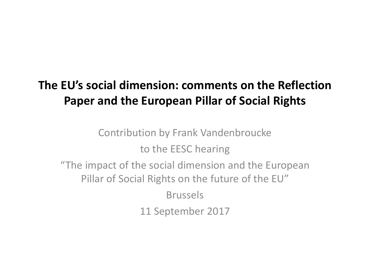# **The EU's social dimension: comments on the Reflection Paper and the European Pillar of Social Rights**

Contribution by Frank Vandenbroucke to the EESC hearing "The impact of the social dimension and the European Pillar of Social Rights on the future of the EU" Brussels 11 September 2017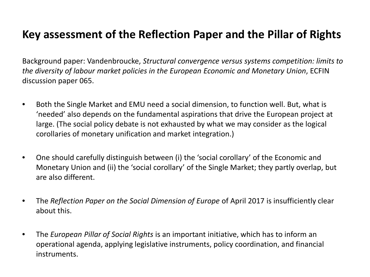#### **Key assessment of the Reflection Paper and the Pillar of Rights**

Background paper: Vandenbroucke, *Structural convergence versus systems competition: limits to the diversity of labour market policies in the European Economic and Monetary Union*, ECFIN discussion paper 065.

- Both the Single Market and EMU need a social dimension, to function well. But, what is 'needed' also depends on the fundamental aspirations that drive the European project at large. (The social policy debate is not exhausted by what we may consider as the logical corollaries of monetary unification and market integration.)
- One should carefully distinguish between (i) the 'social corollary' of the Economic and Monetary Union and (ii) the 'social corollary' of the Single Market; they partly overlap, but are also different.
- The *Reflection Paper on the Social Dimension of Europe* of April 2017 is insufficiently clear about this.
- The *European Pillar of Social Rights* is an important initiative, which has to inform an operational agenda, applying legislative instruments, policy coordination, and financial instruments.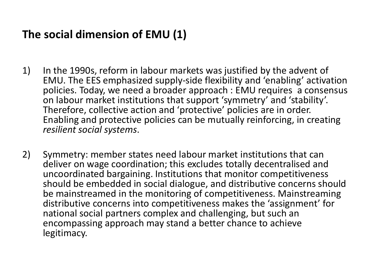### **The social dimension of EMU (1)**

- 1) In the 1990s, reform in labour markets was justified by the advent of EMU. The EES emphasized supply-side flexibility and 'enabling' activation policies. Today, we need a broader approach : EMU requires a consensus on labour market institutions that support 'symmetry' and 'stability'. Therefore, collective action and 'protective' policies are in order. Enabling and protective policies can be mutually reinforcing, in creating *resilient social systems*.
- 2) Symmetry: member states need labour market institutions that can deliver on wage coordination; this excludes totally decentralised and uncoordinated bargaining. Institutions that monitor competitiveness should be embedded in social dialogue, and distributive concerns should be mainstreamed in the monitoring of competitiveness. Mainstreaming distributive concerns into competitiveness makes the 'assignment' for national social partners complex and challenging, but such an encompassing approach may stand a better chance to achieve legitimacy.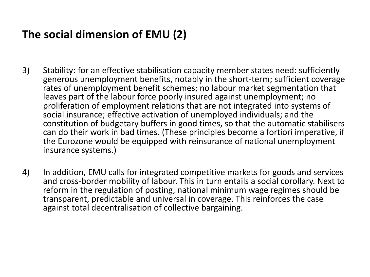## **The social dimension of EMU (2)**

- 3) Stability: for an effective stabilisation capacity member states need: sufficiently generous unemployment benefits, notably in the short-term; sufficient coverage rates of unemployment benefit schemes; no labour market segmentation that leaves part of the labour force poorly insured against unemployment; no proliferation of employment relations that are not integrated into systems of social insurance; effective activation of unemployed individuals; and the constitution of budgetary buffers in good times, so that the automatic stabilisers can do their work in bad times. (These principles become a fortiori imperative, if the Eurozone would be equipped with reinsurance of national unemployment insurance systems.)
- 4) In addition, EMU calls for integrated competitive markets for goods and services and cross-border mobility of labour. This in turn entails a social corollary. Next to reform in the regulation of posting, national minimum wage regimes should be transparent, predictable and universal in coverage. This reinforces the case against total decentralisation of collective bargaining.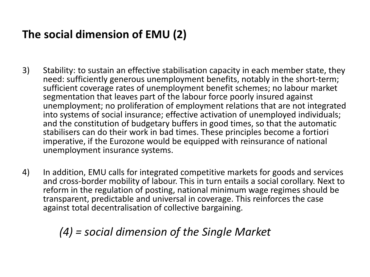## **The social dimension of EMU (2)**

- 3) Stability: to sustain an effective stabilisation capacity in each member state, they need: sufficiently generous unemployment benefits, notably in the short-term; sufficient coverage rates of unemployment benefit schemes; no labour market segmentation that leaves part of the labour force poorly insured against unemployment; no proliferation of employment relations that are not integrated into systems of social insurance; effective activation of unemployed individuals; and the constitution of budgetary buffers in good times, so that the automatic stabilisers can do their work in bad times. These principles become a fortiori imperative, if the Eurozone would be equipped with reinsurance of national unemployment insurance systems.
- 4) In addition, EMU calls for integrated competitive markets for goods and services and cross-border mobility of labour. This in turn entails a social corollary. Next to reform in the regulation of posting, national minimum wage regimes should be transparent, predictable and universal in coverage. This reinforces the case against total decentralisation of collective bargaining.

*(4) = social dimension of the Single Market*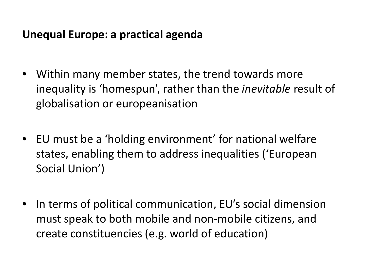#### **Unequal Europe: a practical agenda**

- Within many member states, the trend towards more inequality is 'homespun', rather than the *inevitable* result of globalisation or europeanisation
- EU must be a 'holding environment' for national welfare states, enabling them to address inequalities ('European Social Union')
- In terms of political communication, EU's social dimension must speak to both mobile and non-mobile citizens, and create constituencies (e.g. world of education)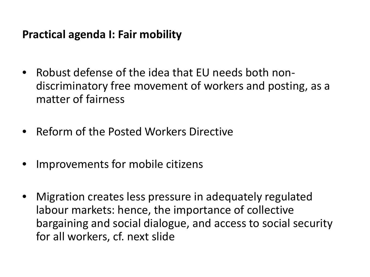#### **Practical agenda I: Fair mobility**

- Robust defense of the idea that EU needs both nondiscriminatory free movement of workers and posting, as a matter of fairness
- Reform of the Posted Workers Directive
- Improvements for mobile citizens
- Migration creates less pressure in adequately regulated labour markets: hence, the importance of collective bargaining and social dialogue, and access to social security for all workers, cf. next slide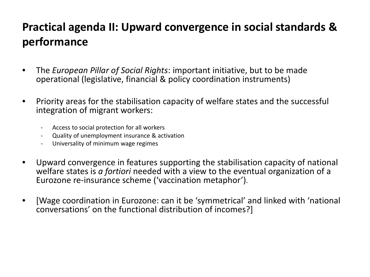## **Practical agenda II: Upward convergence in social standards & performance**

- The *European Pillar of Social Rights*: important initiative, but to be made operational (legislative, financial & policy coordination instruments)
- Priority areas for the stabilisation capacity of welfare states and the successful integration of migrant workers:
	- Access to social protection for all workers
	- Quality of unemployment insurance & activation
	- Universality of minimum wage regimes
- Upward convergence in features supporting the stabilisation capacity of national welfare states is *a fortiori* needed with a view to the eventual organization of a Eurozone re-insurance scheme ('vaccination metaphor').
- [Wage coordination in Eurozone: can it be 'symmetrical' and linked with 'national conversations' on the functional distribution of incomes?]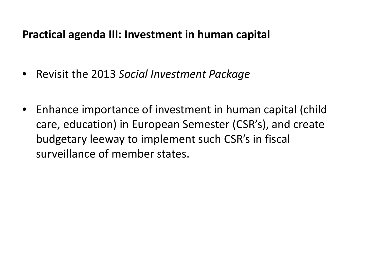#### **Practical agenda III: Investment in human capital**

- Revisit the 2013 *Social Investment Package*
- Enhance importance of investment in human capital (child care, education) in European Semester (CSR's), and create budgetary leeway to implement such CSR's in fiscal surveillance of member states.